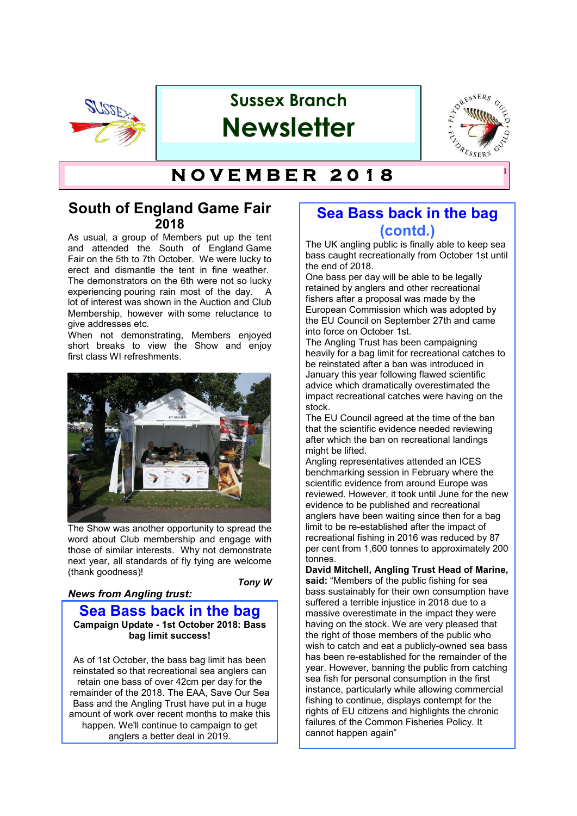

# **Sussex Branch Newsletter**



# **T H E F L Y D R E S S E R S ' G U I N O V E M B E R 2 0 1 8**

## **South of England Game Fair 2018**

As usual, a group of Members put up the tent and attended the South of England Game Fair on the 5th to 7th October. We were lucky to erect and dismantle the tent in fine weather. The demonstrators on the 6th were not so lucky experiencing pouring rain most of the day. A lot of interest was shown in the Auction and Club Membership, however with some reluctance to give addresses etc.

When not demonstrating, Members enjoyed short breaks to view the Show and enjoy first class WI refreshments.



The Show was another opportunity to spread the word about Club membership and engage with those of similar interests. Why not demonstrate next year, all standards of fly tying are welcome (thank goodness)!

#### *News from Angling trust:*

*Tony W*

### **Sea Bass back in the bag Campaign Update - 1st October 2018: Bass bag limit success!**

As of 1st October, the bass bag limit has been reinstated so that recreational sea anglers can retain one bass of over 42cm per day for the remainder of the 2018. The EAA, Save Our Sea Bass and the Angling Trust have put in a huge amount of work over recent months to make this happen. We'll continue to campaign to get anglers a better deal in 2019.

## **Sea Bass back in the bag (contd.)**

The UK angling public is finally able to keep sea bass caught recreationally from October 1st until the end of 2018.

One bass per day will be able to be legally retained by anglers and other recreational fishers after a proposal was made by the European Commission which was adopted by the EU Council on September 27th and came into force on October 1st.

The Angling Trust has been campaigning heavily for a bag limit for recreational catches to be reinstated after a ban was introduced in January this year following flawed scientific advice which dramatically overestimated the impact recreational catches were having on the stock.

The EU Council agreed at the time of the ban that the scientific evidence needed reviewing after which the ban on recreational landings might be lifted.

Angling representatives attended an ICES benchmarking session in February where the scientific evidence from around Europe was reviewed. However, it took until June for the new evidence to be published and recreational anglers have been waiting since then for a bag limit to be re-established after the impact of recreational fishing in 2016 was reduced by 87 per cent from 1,600 tonnes to approximately 200 tonnes.

**David Mitchell, Angling Trust Head of Marine, said:** "Members of the public fishing for sea bass sustainably for their own consumption have suffered a terrible injustice in 2018 due to a massive overestimate in the impact they were having on the stock. We are very pleased that the right of those members of the public who wish to catch and eat a publicly-owned sea bass has been re-established for the remainder of the year. However, banning the public from catching sea fish for personal consumption in the first instance, particularly while allowing commercial fishing to continue, displays contempt for the rights of EU citizens and highlights the chronic failures of the Common Fisheries Policy. It cannot happen again"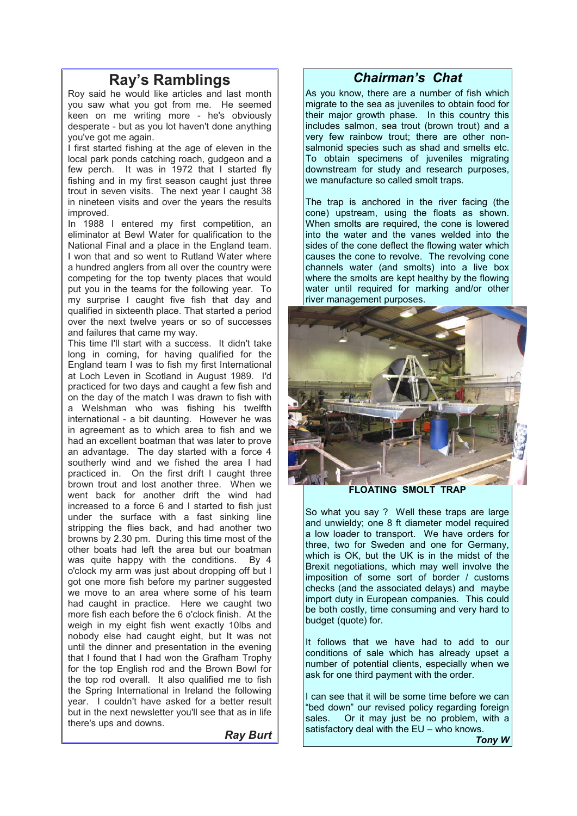# **Ray's Ramblings**

Roy said he would like articles and last month you saw what you got from me. He seemed keen on me writing more - he's obviously desperate - but as you lot haven't done anything you've got me again.

I first started fishing at the age of eleven in the local park ponds catching roach, gudgeon and a few perch. It was in 1972 that I started fly fishing and in my first season caught just three trout in seven visits. The next year I caught 38 in nineteen visits and over the years the results improved.

In 1988 I entered my first competition, an eliminator at Bewl Water for qualification to the National Final and a place in the England team. I won that and so went to Rutland Water where a hundred anglers from all over the country were competing for the top twenty places that would put you in the teams for the following year. To my surprise I caught five fish that day and qualified in sixteenth place. That started a period over the next twelve years or so of successes and failures that came my way.

This time I'll start with a success. It didn't take long in coming, for having qualified for the England team I was to fish my first International at Loch Leven in Scotland in August 1989. I'd practiced for two days and caught a few fish and on the day of the match I was drawn to fish with a Welshman who was fishing his twelfth international - a bit daunting. However he was in agreement as to which area to fish and we had an excellent boatman that was later to prove an advantage. The day started with a force 4 southerly wind and we fished the area I had practiced in. On the first drift I caught three brown trout and lost another three. When we went back for another drift the wind had increased to a force 6 and I started to fish just under the surface with a fast sinking line stripping the flies back, and had another two browns by 2.30 pm. During this time most of the other boats had left the area but our boatman was quite happy with the conditions. By 4 o'clock my arm was just about dropping off but I got one more fish before my partner suggested we move to an area where some of his team had caught in practice. Here we caught two more fish each before the 6 o'clock finish. At the weigh in my eight fish went exactly 10lbs and nobody else had caught eight, but It was not until the dinner and presentation in the evening that I found that I had won the Grafham Trophy for the top English rod and the Brown Bowl for the top rod overall. It also qualified me to fish the Spring International in Ireland the following year. I couldn't have asked for a better result but in the next newsletter you'll see that as in life there's ups and downs.

*Ray Burt*

### *Chairman's Chat*

As you know, there are a number of fish which migrate to the sea as juveniles to obtain food for their major growth phase. In this country this includes salmon, sea trout (brown trout) and a very few rainbow trout; there are other nonsalmonid species such as shad and smelts etc. To obtain specimens of juveniles migrating downstream for study and research purposes, we manufacture so called smolt traps.

The trap is anchored in the river facing (the cone) upstream, using the floats as shown. When smolts are required, the cone is lowered into the water and the vanes welded into the sides of the cone deflect the flowing water which causes the cone to revolve. The revolving cone channels water (and smolts) into a live box where the smolts are kept healthy by the flowing water until required for marking and/or other river management purposes.



**FLOATING SMOLT TRAP**

So what you say ? Well these traps are large and unwieldy; one 8 ft diameter model required a low loader to transport. We have orders for three, two for Sweden and one for Germany, which is OK, but the UK is in the midst of the Brexit negotiations, which may well involve the imposition of some sort of border / customs checks (and the associated delays) and maybe import duty in European companies. This could be both costly, time consuming and very hard to budget (quote) for.

It follows that we have had to add to our conditions of sale which has already upset a number of potential clients, especially when we ask for one third payment with the order.

I can see that it will be some time before we can "bed down" our revised policy regarding foreign sales. Or it may just be no problem, with a satisfactory deal with the EU – who knows.

*Tony W*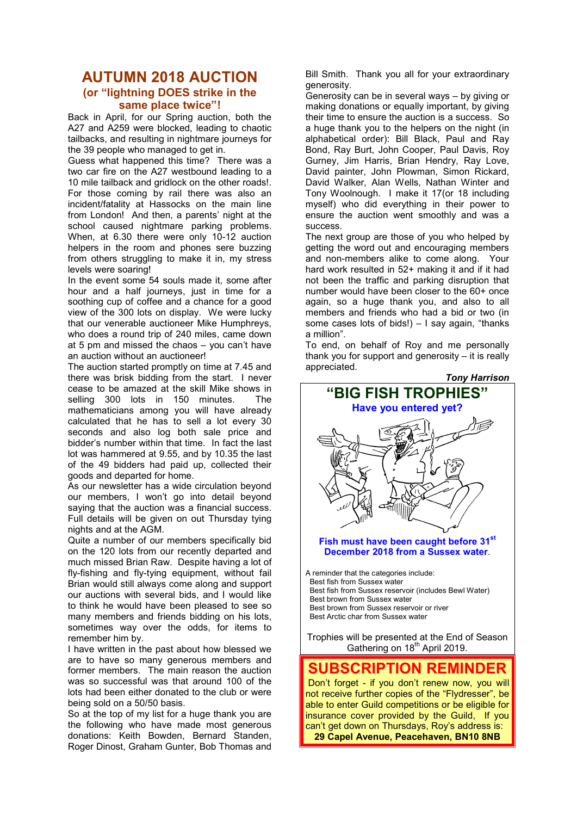### **AUTUMN 2018 AUCTION (or "lightning DOES strike in the same place twice"!**

Back in April, for our Spring auction, both the A27 and A259 were blocked, leading to chaotic tailbacks, and resulting in nightmare journeys for the 39 people who managed to get in.

Guess what happened this time? There was a two car fire on the A27 westbound leading to a 10 mile tailback and gridlock on the other roads!. For those coming by rail there was also an incident/fatality at Hassocks on the main line from London! And then, a parents' night at the school caused nightmare parking problems. When, at 6.30 there were only 10-12 auction helpers in the room and phones sere buzzing from others struggling to make it in, my stress levels were soaring!

In the event some 54 souls made it, some after hour and a half journeys, just in time for a soothing cup of coffee and a chance for a good view of the 300 lots on display. We were lucky that our venerable auctioneer Mike Humphreys, who does a round trip of 240 miles, came down at 5 pm and missed the chaos – you can't have an auction without an auctioneer!

The auction started promptly on time at 7.45 and there was brisk bidding from the start. I never cease to be amazed at the skill Mike shows in selling 300 lots in 150 minutes. The mathematicians among you will have already calculated that he has to sell a lot every 30 seconds and also log both sale price and bidder's number within that time. In fact the last lot was hammered at 9.55, and by 10.35 the last of the 49 bidders had paid up, collected their goods and departed for home.

As our newsletter has a wide circulation beyond our members, I won't go into detail beyond saying that the auction was a financial success. Full details will be given on out Thursday tying nights and at the AGM.

Quite a number of our members specifically bid on the 120 lots from our recently departed and much missed Brian Raw. Despite having a lot of fly-fishing and fly-tying equipment, without fail Brian would still always come along and support our auctions with several bids, and I would like to think he would have been pleased to see so many members and friends bidding on his lots, sometimes way over the odds, for items to remember him by.

I have written in the past about how blessed we are to have so many generous members and former members. The main reason the auction was so successful was that around 100 of the lots had been either donated to the club or were being sold on a 50/50 basis.

So at the top of my list for a huge thank you are the following who have made most generous donations: Keith Bowden, Bernard Standen, Roger Dinost, Graham Gunter, Bob Thomas and

Bill Smith. Thank you all for your extraordinary generosity.

Generosity can be in several ways – by giving or making donations or equally important, by giving their time to ensure the auction is a success. So a huge thank you to the helpers on the night (in alphabetical order): Bill Black, Paul and Ray Bond, Ray Burt, John Cooper, Paul Davis, Roy Gurney, Jim Harris, Brian Hendry, Ray Love, David painter, John Plowman, Simon Rickard, David Walker, Alan Wells, Nathan Winter and Tony Woolnough. I make it 17(or 18 including myself) who did everything in their power to ensure the auction went smoothly and was a success.

The next group are those of you who helped by getting the word out and encouraging members and non-members alike to come along. Your hard work resulted in 52+ making it and if it had not been the traffic and parking disruption that number would have been closer to the 60+ once again, so a huge thank you, and also to all members and friends who had a bid or two (in some cases lots of bids!) – I say again, "thanks a million".

To end, on behalf of Roy and me personally thank you for support and generosity – it is really appreciated.



insurance cover provided by the Guild, If you can't get down on Thursdays, Roy's address is: **29 Capel Avenue, Peacehaven, BN10 8NB**